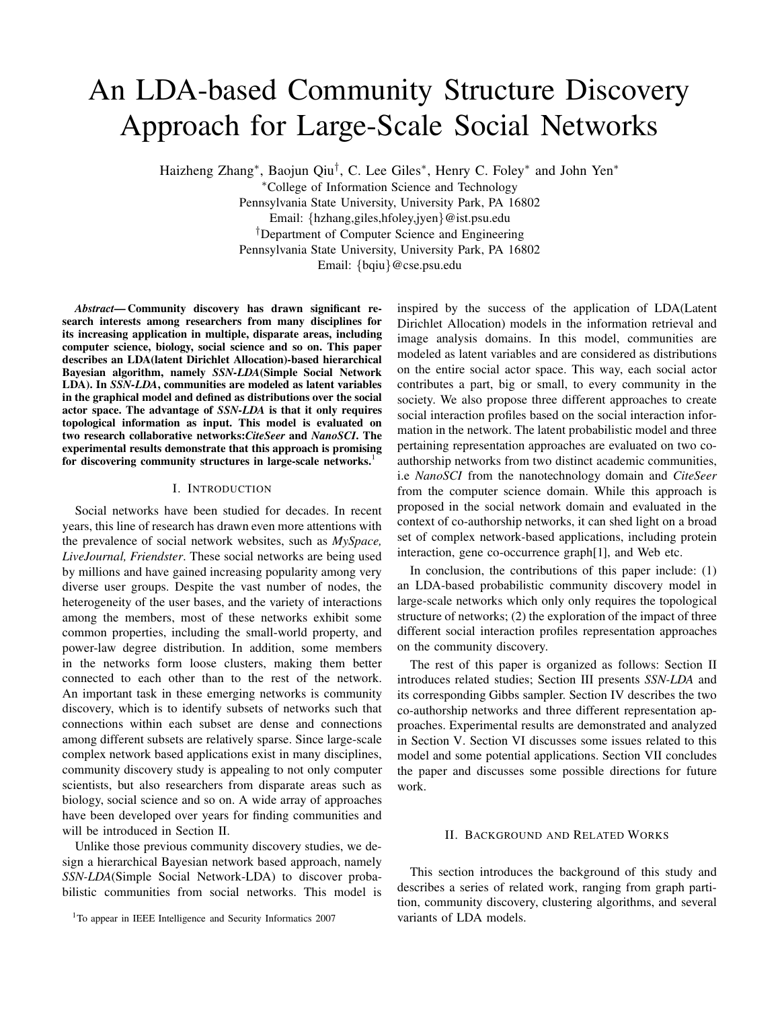# An LDA-based Community Structure Discovery Approach for Large-Scale Social Networks

Haizheng Zhang<sup>∗</sup>, Baojun Qiu<sup>†</sup>, C. Lee Giles<sup>∗</sup>, Henry C. Foley<sup>∗</sup> and John Yen<sup>∗</sup>

<sup>∗</sup>College of Information Science and Technology

Pennsylvania State University, University Park, PA 16802 Email: {hzhang,giles,hfoley,jyen}@ist.psu.edu †Department of Computer Science and Engineering Pennsylvania State University, University Park, PA 16802 Email: {bqiu}@cse.psu.edu

*Abstract***— Community discovery has drawn significant research interests among researchers from many disciplines for its increasing application in multiple, disparate areas, including computer science, biology, social science and so on. This paper describes an LDA(latent Dirichlet Allocation)-based hierarchical Bayesian algorithm, namely** *SSN-LDA***(Simple Social Network LDA). In** *SSN-LDA***, communities are modeled as latent variables in the graphical model and defined as distributions over the social actor space. The advantage of** *SSN-LDA* **is that it only requires topological information as input. This model is evaluated on two research collaborative networks:***CiteSeer* **and** *NanoSCI***. The experimental results demonstrate that this approach is promising for discovering community structures in large-scale networks.**<sup>1</sup>

### I. INTRODUCTION

Social networks have been studied for decades. In recent years, this line of research has drawn even more attentions with the prevalence of social network websites, such as *MySpace, LiveJournal, Friendster*. These social networks are being used by millions and have gained increasing popularity among very diverse user groups. Despite the vast number of nodes, the heterogeneity of the user bases, and the variety of interactions among the members, most of these networks exhibit some common properties, including the small-world property, and power-law degree distribution. In addition, some members in the networks form loose clusters, making them better connected to each other than to the rest of the network. An important task in these emerging networks is community discovery, which is to identify subsets of networks such that connections within each subset are dense and connections among different subsets are relatively sparse. Since large-scale complex network based applications exist in many disciplines, community discovery study is appealing to not only computer scientists, but also researchers from disparate areas such as biology, social science and so on. A wide array of approaches have been developed over years for finding communities and will be introduced in Section II.

Unlike those previous community discovery studies, we design a hierarchical Bayesian network based approach, namely *SSN-LDA*(Simple Social Network-LDA) to discover probabilistic communities from social networks. This model is inspired by the success of the application of LDA(Latent Dirichlet Allocation) models in the information retrieval and image analysis domains. In this model, communities are modeled as latent variables and are considered as distributions on the entire social actor space. This way, each social actor contributes a part, big or small, to every community in the society. We also propose three different approaches to create social interaction profiles based on the social interaction information in the network. The latent probabilistic model and three pertaining representation approaches are evaluated on two coauthorship networks from two distinct academic communities, i.e *NanoSCI* from the nanotechnology domain and *CiteSeer* from the computer science domain. While this approach is proposed in the social network domain and evaluated in the context of co-authorship networks, it can shed light on a broad set of complex network-based applications, including protein interaction, gene co-occurrence graph[1], and Web etc.

In conclusion, the contributions of this paper include: (1) an LDA-based probabilistic community discovery model in large-scale networks which only only requires the topological structure of networks; (2) the exploration of the impact of three different social interaction profiles representation approaches on the community discovery.

The rest of this paper is organized as follows: Section II introduces related studies; Section III presents *SSN-LDA* and its corresponding Gibbs sampler. Section IV describes the two co-authorship networks and three different representation approaches. Experimental results are demonstrated and analyzed in Section V. Section VI discusses some issues related to this model and some potential applications. Section VII concludes the paper and discusses some possible directions for future work.

## II. BACKGROUND AND RELATED WORKS

This section introduces the background of this study and describes a series of related work, ranging from graph partition, community discovery, clustering algorithms, and several variants of LDA models.

<sup>&</sup>lt;sup>1</sup>To appear in IEEE Intelligence and Security Informatics 2007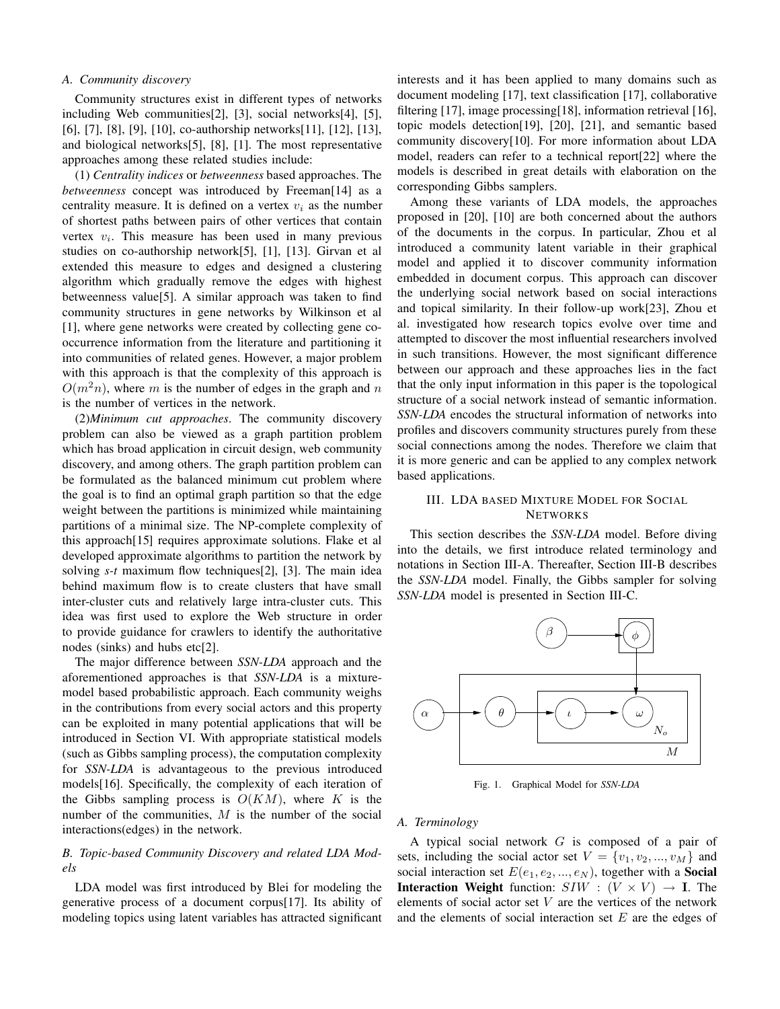# *A. Community discovery*

Community structures exist in different types of networks including Web communities[2], [3], social networks[4], [5], [6], [7], [8], [9], [10], co-authorship networks[11], [12], [13], and biological networks[5], [8], [1]. The most representative approaches among these related studies include:

(1) *Centrality indices* or *betweenness* based approaches. The *betweenness* concept was introduced by Freeman<sup>[14]</sup> as a centrality measure. It is defined on a vertex  $v_i$  as the number of shortest paths between pairs of other vertices that contain vertex  $v_i$ . This measure has been used in many previous studies on co-authorship network[5], [1], [13]. Girvan et al extended this measure to edges and designed a clustering algorithm which gradually remove the edges with highest betweenness value[5]. A similar approach was taken to find community structures in gene networks by Wilkinson et al [1], where gene networks were created by collecting gene cooccurrence information from the literature and partitioning it into communities of related genes. However, a major problem with this approach is that the complexity of this approach is  $O(m<sup>2</sup>n)$ , where m is the number of edges in the graph and n is the number of vertices in the network.

(2)*Minimum cut approaches*. The community discovery problem can also be viewed as a graph partition problem which has broad application in circuit design, web community discovery, and among others. The graph partition problem can be formulated as the balanced minimum cut problem where the goal is to find an optimal graph partition so that the edge weight between the partitions is minimized while maintaining partitions of a minimal size. The NP-complete complexity of this approach[15] requires approximate solutions. Flake et al developed approximate algorithms to partition the network by solving *s-t* maximum flow techniques[2], [3]. The main idea behind maximum flow is to create clusters that have small inter-cluster cuts and relatively large intra-cluster cuts. This idea was first used to explore the Web structure in order to provide guidance for crawlers to identify the authoritative nodes (sinks) and hubs etc[2].

The major difference between *SSN-LDA* approach and the aforementioned approaches is that *SSN-LDA* is a mixturemodel based probabilistic approach. Each community weighs in the contributions from every social actors and this property can be exploited in many potential applications that will be introduced in Section VI. With appropriate statistical models (such as Gibbs sampling process), the computation complexity for *SSN-LDA* is advantageous to the previous introduced models[16]. Specifically, the complexity of each iteration of the Gibbs sampling process is  $O(KM)$ , where K is the number of the communities,  $M$  is the number of the social interactions(edges) in the network.

# *B. Topic-based Community Discovery and related LDA Models*

LDA model was first introduced by Blei for modeling the generative process of a document corpus[17]. Its ability of modeling topics using latent variables has attracted significant interests and it has been applied to many domains such as document modeling [17], text classification [17], collaborative filtering [17], image processing[18], information retrieval [16], topic models detection[19], [20], [21], and semantic based community discovery[10]. For more information about LDA model, readers can refer to a technical report[22] where the models is described in great details with elaboration on the corresponding Gibbs samplers.

Among these variants of LDA models, the approaches proposed in [20], [10] are both concerned about the authors of the documents in the corpus. In particular, Zhou et al introduced a community latent variable in their graphical model and applied it to discover community information embedded in document corpus. This approach can discover the underlying social network based on social interactions and topical similarity. In their follow-up work[23], Zhou et al. investigated how research topics evolve over time and attempted to discover the most influential researchers involved in such transitions. However, the most significant difference between our approach and these approaches lies in the fact that the only input information in this paper is the topological structure of a social network instead of semantic information. *SSN-LDA* encodes the structural information of networks into profiles and discovers community structures purely from these social connections among the nodes. Therefore we claim that it is more generic and can be applied to any complex network based applications.

# III. LDA BASED MIXTURE MODEL FOR SOCIAL **NETWORKS**

This section describes the *SSN-LDA* model. Before diving into the details, we first introduce related terminology and notations in Section III-A. Thereafter, Section III-B describes the *SSN-LDA* model. Finally, the Gibbs sampler for solving *SSN-LDA* model is presented in Section III-C.



Fig. 1. Graphical Model for *SSN-LDA*

#### *A. Terminology*

A typical social network  $G$  is composed of a pair of sets, including the social actor set  $V = \{v_1, v_2, ..., v_M\}$  and social interaction set  $E(e_1, e_2, ..., e_N)$ , together with a **Social Interaction Weight** function:  $SIW : (V \times V) \rightarrow I$ . The elements of social actor set  $V$  are the vertices of the network and the elements of social interaction set  $E$  are the edges of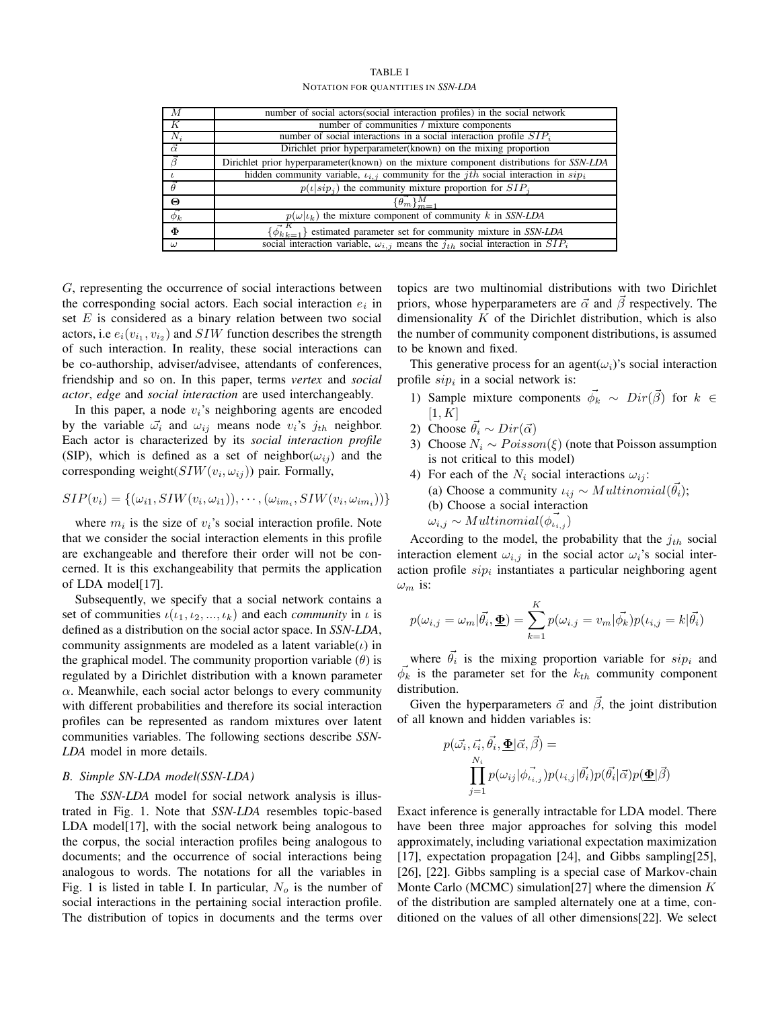| TABLE I                            |  |  |
|------------------------------------|--|--|
| NOTATION FOR OUANTITIES IN SSN-LDA |  |  |

| M              | number of social actors(social interaction profiles) in the social network                          |
|----------------|-----------------------------------------------------------------------------------------------------|
| К              | number of communities / mixture components                                                          |
| $N_i$          | number of social interactions in a social interaction profile $SIP_i$                               |
| $\vec{\alpha}$ | Dirichlet prior hyperparameter(known) on the mixing proportion                                      |
| $\vec{\beta}$  | Dirichlet prior hyperparameter(known) on the mixture component distributions for SSN-LDA            |
|                | hidden community variable, $\iota_{i,j}$ community for the <i>jth</i> social interaction in $\sinh$ |
| $\theta$       | $p(\iota   \sin i)$ the community mixture proportion for $SIP_i$                                    |
| Θ              | $\{\vec{\theta_m}\}_{m=1}^M$                                                                        |
| $\vec{\phi_k}$ | $p(\omega \iota_k)$ the mixture component of community k in SSN-LDA                                 |
| $\Phi$         | $\{\vec{\phi}_{k,k=1}^{K}\}$ estimated parameter set for community mixture in SSN-LDA               |
| $\omega$       | social interaction variable, $\omega_{i,j}$ means the $j_{th}$ social interaction in $SIP_i$        |

G, representing the occurrence of social interactions between the corresponding social actors. Each social interaction  $e_i$  in set  $E$  is considered as a binary relation between two social actors, i.e  $e_i(v_{i_1}, v_{i_2})$  and  $SIW$  function describes the strength of such interaction. In reality, these social interactions can be co-authorship, adviser/advisee, attendants of conferences, friendship and so on. In this paper, terms *vertex* and *social actor*, *edge* and *social interaction* are used interchangeably.

In this paper, a node  $v_i$ 's neighboring agents are encoded by the variable  $\vec{\omega_i}$  and  $\omega_{ij}$  means node  $v_i$ 's  $j_{th}$  neighbor. Each actor is characterized by its *social interaction profile* (SIP), which is defined as a set of neighbor( $\omega_{ij}$ ) and the corresponding weight $(SIW(v_i, \omega_{ij}))$  pair. Formally,

$$
SIP(v_i) = \{(\omega_{i1}, SIW(v_i, \omega_{i1})), \cdots, (\omega_{im_i}, SIW(v_i, \omega_{im_i}))\}
$$

where  $m_i$  is the size of  $v_i$ 's social interaction profile. Note that we consider the social interaction elements in this profile are exchangeable and therefore their order will not be concerned. It is this exchangeability that permits the application of LDA model[17].

Subsequently, we specify that a social network contains a set of communities  $\iota(\iota_1, \iota_2, ..., \iota_k)$  and each *community* in  $\iota$  is defined as a distribution on the social actor space. In *SSN-LDA*, community assignments are modeled as a latent variable( $\iota$ ) in the graphical model. The community proportion variable  $(\theta)$  is regulated by a Dirichlet distribution with a known parameter  $\alpha$ . Meanwhile, each social actor belongs to every community with different probabilities and therefore its social interaction profiles can be represented as random mixtures over latent communities variables. The following sections describe *SSN-LDA* model in more details.

# *B. Simple SN-LDA model(SSN-LDA)*

The *SSN-LDA* model for social network analysis is illustrated in Fig. 1. Note that *SSN-LDA* resembles topic-based LDA model[17], with the social network being analogous to the corpus, the social interaction profiles being analogous to documents; and the occurrence of social interactions being analogous to words. The notations for all the variables in Fig. 1 is listed in table I. In particular,  $N<sub>o</sub>$  is the number of social interactions in the pertaining social interaction profile. The distribution of topics in documents and the terms over topics are two multinomial distributions with two Dirichlet priors, whose hyperparameters are  $\vec{\alpha}$  and  $\vec{\beta}$  respectively. The dimensionality  $K$  of the Dirichlet distribution, which is also the number of community component distributions, is assumed to be known and fixed.

This generative process for an agent $(\omega_i)$ 's social interaction profile  $\sin$  in a social network is:

- 1) Sample mixture components  $\vec{\phi}_k \sim Dir(\vec{\beta})$  for  $k \in$  $[1, K]$
- 2) Choose  $\vec{\theta}_i \sim Dir(\vec{\alpha})$
- 3) Choose  $N_i \sim Poisson(\xi)$  (note that Poisson assumption is not critical to this model)
- 4) For each of the  $N_i$  social interactions  $\omega_{ij}$ : (a) Choose a community  $\iota_{ij} \sim Multinomial(\vec{\theta_i})$ ; (b) Choose a social interaction  $\omega_{i,j} \sim Multinomial(\phi_{i,j}^{\dagger})$

According to the model, the probability that the  $j_{th}$  social interaction element  $\omega_{i,j}$  in the social actor  $\omega_i$ 's social interaction profile  $\sinh$  instantiates a particular neighboring agent  $\omega_m$  is:

$$
p(\omega_{i,j} = \omega_m | \vec{\theta}_i, \underline{\Phi}) = \sum_{k=1}^K p(\omega_{i,j} = v_m | \vec{\phi}_k) p(\iota_{i,j} = k | \vec{\theta}_i)
$$

where  $\vec{\theta}_i$  is the mixing proportion variable for  $\sinh$  and  $\vec{\phi_k}$  is the parameter set for the  $k_{th}$  community component distribution.

Given the hyperparameters  $\vec{\alpha}$  and  $\vec{\beta}$ , the joint distribution of all known and hidden variables is:

$$
p(\vec{\omega_i}, \vec{\iota_i}, \vec{\theta_i}, \underline{\Phi} | \vec{\alpha}, \vec{\beta}) =
$$
  

$$
\prod_{j=1}^{N_i} p(\omega_{ij} | \vec{\phi}_{i,j}) p(\iota_{i,j} | \vec{\theta_i}) p(\vec{\theta_i} | \vec{\alpha}) p(\underline{\Phi} | \vec{\beta})
$$

Exact inference is generally intractable for LDA model. There have been three major approaches for solving this model approximately, including variational expectation maximization [17], expectation propagation [24], and Gibbs sampling[25], [26], [22]. Gibbs sampling is a special case of Markov-chain Monte Carlo (MCMC) simulation[27] where the dimension  $K$ of the distribution are sampled alternately one at a time, conditioned on the values of all other dimensions[22]. We select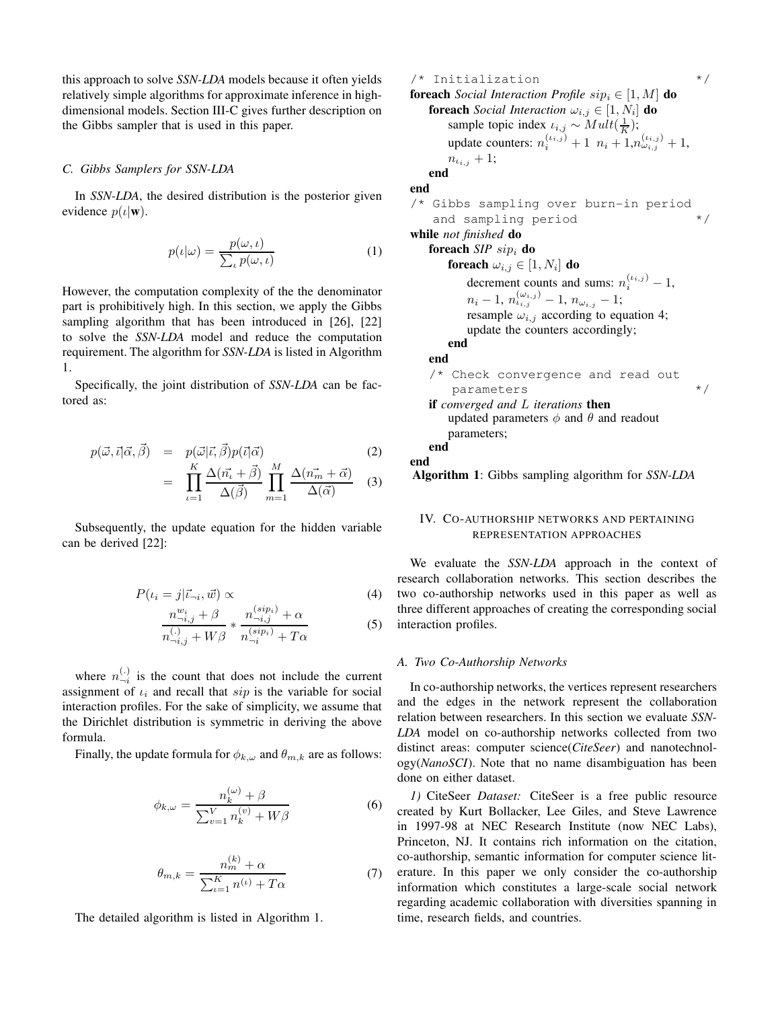this approach to solve *SSN-LDA* models because it often yields relatively simple algorithms for approximate inference in highdimensional models. Section III-C gives further description on the Gibbs sampler that is used in this paper.

# *C. Gibbs Samplers for SSN-LDA*

In *SSN-LDA*, the desired distribution is the posterior given evidence  $p(\iota|\mathbf{w})$ .

$$
p(\iota|\omega) = \frac{p(\omega, \iota)}{\sum_{\iota} p(\omega, \iota)}\tag{1}
$$

However, the computation complexity of the the denominator part is prohibitively high. In this section, we apply the Gibbs sampling algorithm that has been introduced in [26], [22] to solve the *SSN-LDA* model and reduce the computation requirement. The algorithm for *SSN-LDA* is listed in Algorithm 1.

Specifically, the joint distribution of *SSN-LDA* can be factored as:

$$
p(\vec{\omega}, \vec{\iota} | \vec{\alpha}, \vec{\beta}) = p(\vec{\omega} | \vec{\iota}, \vec{\beta}) p(\vec{\iota} | \vec{\alpha})
$$
(2)  

$$
= \prod_{\iota=1}^{K} \frac{\Delta(\vec{n_{\iota}} + \vec{\beta})}{\Delta(\vec{\beta})} \prod_{m=1}^{M} \frac{\Delta(\vec{n_{m}} + \vec{\alpha})}{\Delta(\vec{\alpha})}
$$
(3)

Subsequently, the update equation for the hidden variable can be derived [22]:

$$
P(\iota_i = j | \vec{\iota}_{\neg i}, \vec{w}) \propto \tag{4}
$$

$$
\frac{n_{\neg i,j}^{w_i} + \beta}{n_{\neg i,j}^{(.)} + W\beta} * \frac{n_{\neg i,j}^{(sip_i)} + \alpha}{n_{\neg i}^{(sip_i)} + T\alpha}
$$
(5)

where  $n_{-i}^{(.)}$  is the count that does not include the current assignment of  $\iota_i$  and recall that  $\sin$  is the variable for social interaction profiles. For the sake of simplicity, we assume that the Dirichlet distribution is symmetric in deriving the above formula.

Finally, the update formula for  $\phi_{k,\omega}$  and  $\theta_{m,k}$  are as follows:

$$
\phi_{k,\omega} = \frac{n_k^{(\omega)} + \beta}{\sum_{v=1}^V n_k^{(v)} + W\beta}
$$
(6)

$$
\theta_{m,k} = \frac{n_m^{(k)} + \alpha}{\sum_{t=1}^K n^{(t)} + T\alpha} \tag{7}
$$

The detailed algorithm is listed in Algorithm 1.

/\* Initialization \*/ **foreach** *Social Interaction Profile*  $\sin_i \in [1, M]$  **do foreach** *Social Interaction*  $\omega_{i,j} \in [1, N_i]$  **do** sample topic index  $\iota_{i,j} \sim Mult(\frac{1}{K});$ update counters:  $n_i^{(i_{i,j})} + 1 \ n_i + 1, n_{\omega_{i,j}}^{(i_{i,j})} + 1,$  $n_{\iota_{i,j}} + 1;$ **end end** /\* Gibbs sampling over burn-in period and sampling period  $*$ / **while** *not finished* **do foreach** *SIP* sip<sup>i</sup> **do**  ${\bf forceach}\,\,\omega_{i,j}\in [1,N_i]\,$   ${\bf do}$ decrement counts and sums:  $n_i^{(i_i,j)} - 1$ ,  $n_i-1,\,n_{\iota_{i,j}}^{(\omega_{i,j})}-1,\,n_{\omega_{i.j}}-1;$ resample  $\omega_{i,j}$  according to equation 4; update the counters accordingly; **end end** /\* Check convergence and read out parameters  $*$ / **if** *converged and* L *iterations* **then** updated parameters  $\phi$  and  $\theta$  and readout parameters; **end end Algorithm 1**: Gibbs sampling algorithm for *SSN-LDA*

# IV. CO-AUTHORSHIP NETWORKS AND PERTAINING REPRESENTATION APPROACHES

We evaluate the *SSN-LDA* approach in the context of research collaboration networks. This section describes the two co-authorship networks used in this paper as well as three different approaches of creating the corresponding social interaction profiles.

#### *A. Two Co-Authorship Networks*

In co-authorship networks, the vertices represent researchers and the edges in the network represent the collaboration relation between researchers. In this section we evaluate *SSN-LDA* model on co-authorship networks collected from two distinct areas: computer science(*CiteSeer*) and nanotechnology(*NanoSCI*). Note that no name disambiguation has been done on either dataset.

*1)* CiteSeer *Dataset:* CiteSeer is a free public resource created by Kurt Bollacker, Lee Giles, and Steve Lawrence in 1997-98 at NEC Research Institute (now NEC Labs), Princeton, NJ. It contains rich information on the citation, co-authorship, semantic information for computer science literature. In this paper we only consider the co-authorship information which constitutes a large-scale social network regarding academic collaboration with diversities spanning in time, research fields, and countries.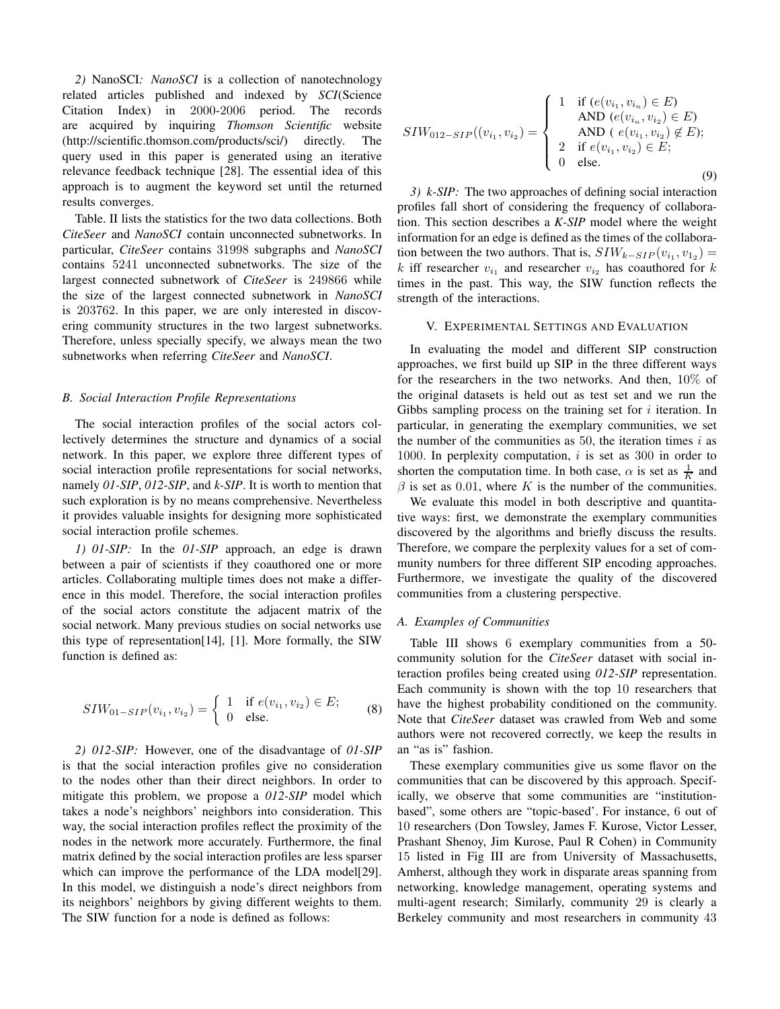*2)* NanoSCI*: NanoSCI* is a collection of nanotechnology related articles published and indexed by *SCI*(Science Citation Index) in 2000-2006 period. The records are acquired by inquiring *Thomson Scientific* website (http://scientific.thomson.com/products/sci/) directly. The query used in this paper is generated using an iterative relevance feedback technique [28]. The essential idea of this approach is to augment the keyword set until the returned results converges.

Table. II lists the statistics for the two data collections. Both *CiteSeer* and *NanoSCI* contain unconnected subnetworks. In particular, *CiteSeer* contains 31998 subgraphs and *NanoSCI* contains 5241 unconnected subnetworks. The size of the largest connected subnetwork of *CiteSeer* is 249866 while the size of the largest connected subnetwork in *NanoSCI* is 203762. In this paper, we are only interested in discovering community structures in the two largest subnetworks. Therefore, unless specially specify, we always mean the two subnetworks when referring *CiteSeer* and *NanoSCI*.

# *B. Social Interaction Profile Representations*

The social interaction profiles of the social actors collectively determines the structure and dynamics of a social network. In this paper, we explore three different types of social interaction profile representations for social networks, namely *01-SIP*, *012-SIP*, and *k-SIP*. It is worth to mention that such exploration is by no means comprehensive. Nevertheless it provides valuable insights for designing more sophisticated social interaction profile schemes.

*1) 01-SIP:* In the *01-SIP* approach, an edge is drawn between a pair of scientists if they coauthored one or more articles. Collaborating multiple times does not make a difference in this model. Therefore, the social interaction profiles of the social actors constitute the adjacent matrix of the social network. Many previous studies on social networks use this type of representation[14], [1]. More formally, the SIW function is defined as:

$$
SIW_{01-SIP}(v_{i_1}, v_{i_2}) = \begin{cases} 1 & \text{if } e(v_{i_1}, v_{i_2}) \in E; \\ 0 & \text{else.} \end{cases}
$$
 (8)

*2) 012-SIP:* However, one of the disadvantage of *01-SIP* is that the social interaction profiles give no consideration to the nodes other than their direct neighbors. In order to mitigate this problem, we propose a *012-SIP* model which takes a node's neighbors' neighbors into consideration. This way, the social interaction profiles reflect the proximity of the nodes in the network more accurately. Furthermore, the final matrix defined by the social interaction profiles are less sparser which can improve the performance of the LDA model[29]. In this model, we distinguish a node's direct neighbors from its neighbors' neighbors by giving different weights to them. The SIW function for a node is defined as follows:

$$
SIW_{012-SIP}((v_{i_1}, v_{i_2}) = \begin{cases} 1 & \text{if } (e(v_{i_1}, v_{i_n}) \in E) \\ AND (e(v_{i_n}, v_{i_2}) \in E) \\ AND (e(v_{i_1}, v_{i_2}) \notin E); \\ 2 & \text{if } e(v_{i_1}, v_{i_2}) \in E; \\ 0 & \text{else.} \end{cases}
$$
(9)

*3) k-SIP:* The two approaches of defining social interaction profiles fall short of considering the frequency of collaboration. This section describes a *K-SIP* model where the weight information for an edge is defined as the times of the collaboration between the two authors. That is,  $SIW_{k-SIP}(v_{i_1}, v_{1_2}) =$ k iff researcher  $v_{i_1}$  and researcher  $v_{i_2}$  has coauthored for k times in the past. This way, the SIW function reflects the strength of the interactions.

# V. EXPERIMENTAL SETTINGS AND EVALUATION

In evaluating the model and different SIP construction approaches, we first build up SIP in the three different ways for the researchers in the two networks. And then, 10% of the original datasets is held out as test set and we run the Gibbs sampling process on the training set for  $i$  iteration. In particular, in generating the exemplary communities, we set the number of the communities as  $50$ , the iteration times  $i$  as 1000. In perplexity computation,  $i$  is set as 300 in order to shorten the computation time. In both case,  $\alpha$  is set as  $\frac{1}{K}$  and  $\beta$  is set as 0.01, where K is the number of the communities.

We evaluate this model in both descriptive and quantitative ways: first, we demonstrate the exemplary communities discovered by the algorithms and briefly discuss the results. Therefore, we compare the perplexity values for a set of community numbers for three different SIP encoding approaches. Furthermore, we investigate the quality of the discovered communities from a clustering perspective.

# *A. Examples of Communities*

Table III shows 6 exemplary communities from a 50 community solution for the *CiteSeer* dataset with social interaction profiles being created using *012-SIP* representation. Each community is shown with the top 10 researchers that have the highest probability conditioned on the community. Note that *CiteSeer* dataset was crawled from Web and some authors were not recovered correctly, we keep the results in an "as is" fashion.

These exemplary communities give us some flavor on the communities that can be discovered by this approach. Specifically, we observe that some communities are "institutionbased", some others are "topic-based'. For instance, 6 out of 10 researchers (Don Towsley, James F. Kurose, Victor Lesser, Prashant Shenoy, Jim Kurose, Paul R Cohen) in Community 15 listed in Fig III are from University of Massachusetts, Amherst, although they work in disparate areas spanning from networking, knowledge management, operating systems and multi-agent research; Similarly, community 29 is clearly a Berkeley community and most researchers in community 43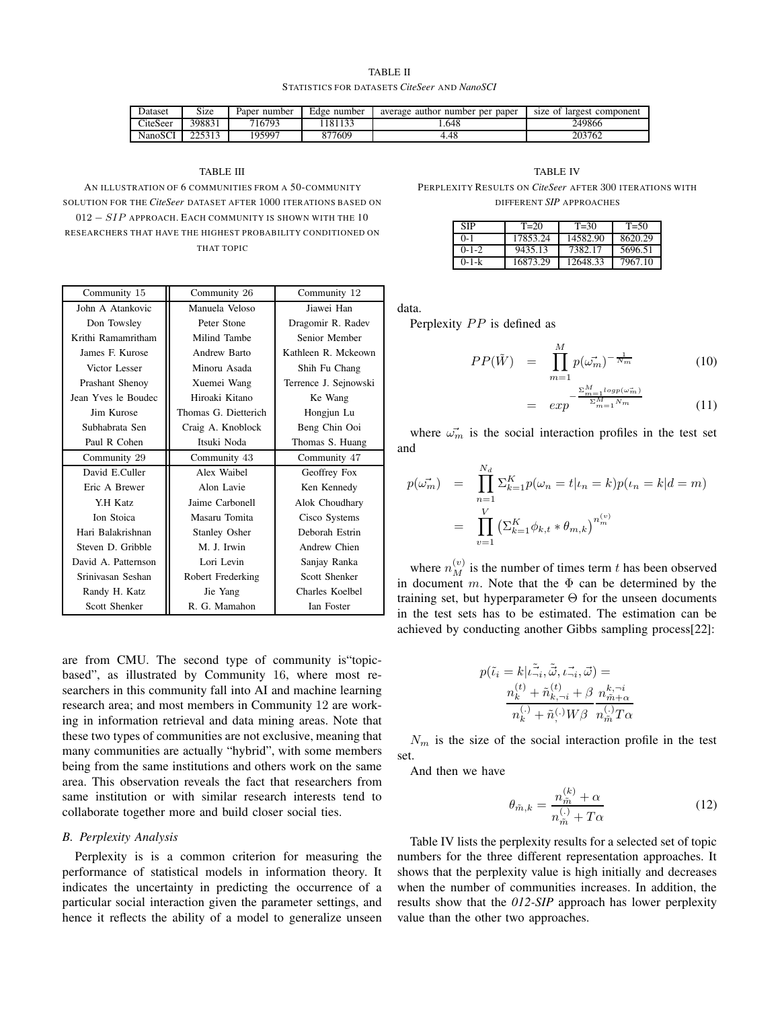TABLE II STATISTICS FOR DATASETS *CiteSeer* AND *NanoSCI*

| Dataset  | $\sim$<br>Size | Paper<br>number | Edge number | average author number per<br>paper | size of<br>: largest component |
|----------|----------------|-----------------|-------------|------------------------------------|--------------------------------|
| CiteSeer | 398831         | 716793          | 122<br>181  | .648                               | 249866                         |
| NanoSCI  | つつ こつ 1つ       | 195997          | 877609      | 4.48                               | 203762                         |

#### TABLE III

AN ILLUSTRATION OF 6 COMMUNITIES FROM A 50-COMMUNITY SOLUTION FOR THE *CiteSeer* DATASET AFTER 1000 ITERATIONS BASED ON 012 − SIP APPROACH. EACH COMMUNITY IS SHOWN WITH THE 10 RESEARCHERS THAT HAVE THE HIGHEST PROBABILITY CONDITIONED ON THAT TOPIC

| Community 15        | Community 12<br>Community 26 |                       |  |
|---------------------|------------------------------|-----------------------|--|
| John A Atankovic    | Manuela Veloso               | Jiawei Han            |  |
| Don Towsley         | Peter Stone                  | Dragomir R. Radev     |  |
| Krithi Ramamritham  | Milind Tambe                 | Senior Member         |  |
| James F. Kurose     | Andrew Barto                 | Kathleen R. Mckeown   |  |
| Victor Lesser       | Minoru Asada                 | Shih Fu Chang         |  |
| Prashant Shenoy     | Xuemei Wang                  | Terrence J. Sejnowski |  |
| Jean Yves le Boudec | Hiroaki Kitano               | Ke Wang               |  |
| Jim Kurose          | Thomas G. Dietterich         | Hongjun Lu            |  |
| Subhabrata Sen      | Craig A. Knoblock            | Beng Chin Ooi         |  |
| Paul R Cohen        | Itsuki Noda                  | Thomas S. Huang       |  |
| Community 29        | Community 43                 | Community 47          |  |
| David E.Culler      | Alex Waibel                  | Geoffrey Fox          |  |
| Eric A Brewer       | Alon Lavie                   | Ken Kennedy           |  |
| Y.H Katz            | Jaime Carbonell              | Alok Choudhary        |  |
| Ion Stoica          | Masaru Tomita                | Cisco Systems         |  |
| Hari Balakrishnan   | <b>Stanley Osher</b>         | Deborah Estrin        |  |
| Steven D. Gribble   | M. J. Irwin                  | Andrew Chien          |  |
| David A. Patternson | Lori Levin                   | Sanjay Ranka          |  |
| Srinivasan Seshan   | Robert Frederking            | Scott Shenker         |  |
| Randy H. Katz       | Jie Yang                     | Charles Koelbel       |  |
| Scott Shenker       | R. G. Mamahon                | Ian Foster            |  |

are from CMU. The second type of community is"topicbased", as illustrated by Community 16, where most researchers in this community fall into AI and machine learning research area; and most members in Community 12 are working in information retrieval and data mining areas. Note that these two types of communities are not exclusive, meaning that many communities are actually "hybrid", with some members being from the same institutions and others work on the same area. This observation reveals the fact that researchers from same institution or with similar research interests tend to collaborate together more and build closer social ties.

# *B. Perplexity Analysis*

Perplexity is is a common criterion for measuring the performance of statistical models in information theory. It indicates the uncertainty in predicting the occurrence of a particular social interaction given the parameter settings, and hence it reflects the ability of a model to generalize unseen

TABLE IV

PERPLEXITY RESULTS ON *CiteSeer* AFTER 300 ITERATIONS WITH DIFFERENT *SIP* APPROACHES

| SIP         | $T = 20$ | $T = 30$ | $T = 50$ |
|-------------|----------|----------|----------|
| O- 1        | 17853.24 | 14582.90 | 8620.29  |
| $0 - 1 - 2$ | 9435.13  | 7382.17  | 5696.51  |
| 0-1-k       | 16873.29 | 12648.33 | 7967.10  |

data.

Perplexity PP is defined as

$$
PP(\tilde{W}) = \prod_{m=1}^{M} p(\vec{\omega_m})^{-\frac{1}{N_m}}
$$
(10)

$$
= \exp^{-\frac{\sum_{m=1}^{L}logp(\omega_m)}{\sum_{m=1}^{M}N_m}}
$$
(11)

where  $\vec{\omega_m}$  is the social interaction profiles in the test set and

$$
p(\vec{\omega_m}) = \prod_{n=1}^{N_d} \sum_{k=1}^{K} p(\omega_n = t | \iota_n = k) p(\iota_n = k | d = m)
$$
  
= 
$$
\prod_{v=1}^{V} (\sum_{k=1}^{K} \phi_{k,t} * \theta_{m,k})^{n_m^{(v)}}
$$

where  $n_M^{(v)}$  is the number of times term t has been observed in document m. Note that the  $\Phi$  can be determined by the training set, but hyperparameter  $\Theta$  for the unseen documents in the test sets has to be estimated. The estimation can be achieved by conducting another Gibbs sampling process[22]:

$$
p(\tilde{\iota}_i = k | \tilde{\iota}_{\neg i}^{\tilde{\iota}}, \tilde{\vec{\omega}}, \iota_{\neg i}^{\neg}, \vec{\omega}) =
$$
  

$$
\frac{n_k^{(t)} + \tilde{n}_{k, \neg i}^{(t)} + \beta}{n_k^{(\cdot)} + \tilde{n}_{\neg}^{(\cdot)} W \beta} \frac{n_{\tilde{m} + \alpha}^{k, \neg i}}{n_m^{(\cdot)} T \alpha}
$$

 $N_m$  is the size of the social interaction profile in the test set.

And then we have

$$
\theta_{\tilde{m},k} = \frac{n_{\tilde{m}}^{(k)} + \alpha}{n_{\tilde{m}}^{(k)} + T\alpha} \tag{12}
$$

Table IV lists the perplexity results for a selected set of topic numbers for the three different representation approaches. It shows that the perplexity value is high initially and decreases when the number of communities increases. In addition, the results show that the *012-SIP* approach has lower perplexity value than the other two approaches.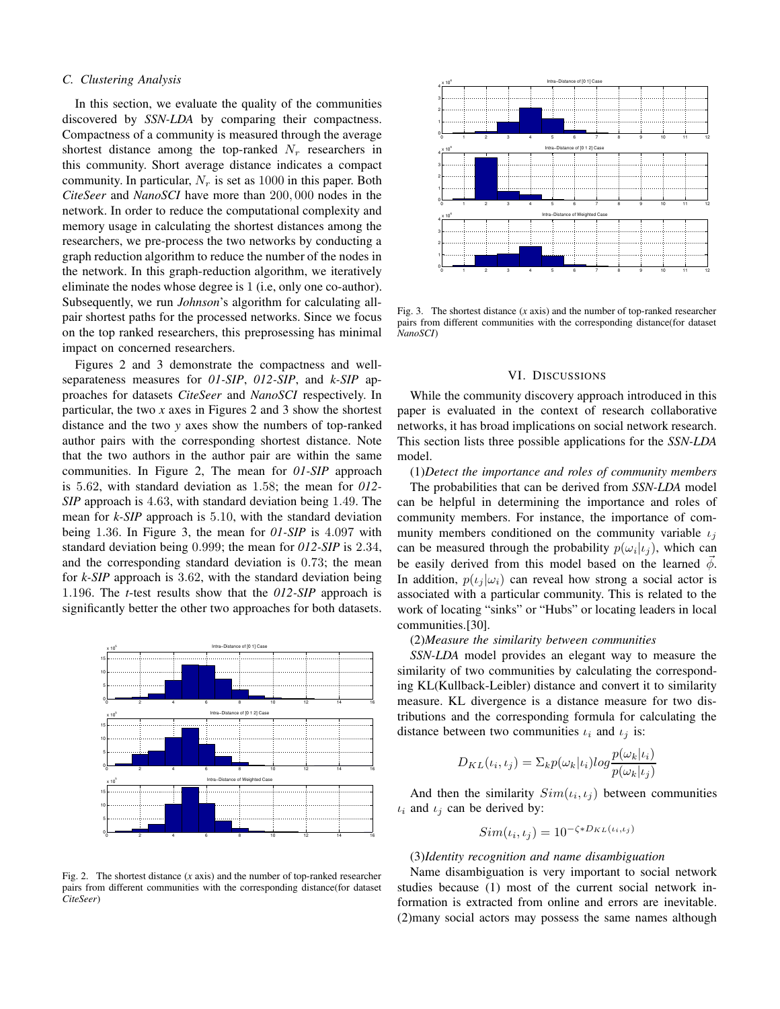### *C. Clustering Analysis*

In this section, we evaluate the quality of the communities discovered by *SSN-LDA* by comparing their compactness. Compactness of a community is measured through the average shortest distance among the top-ranked  $N_r$  researchers in this community. Short average distance indicates a compact community. In particular,  $N_r$  is set as 1000 in this paper. Both *CiteSeer* and *NanoSCI* have more than 200, 000 nodes in the network. In order to reduce the computational complexity and memory usage in calculating the shortest distances among the researchers, we pre-process the two networks by conducting a graph reduction algorithm to reduce the number of the nodes in the network. In this graph-reduction algorithm, we iteratively eliminate the nodes whose degree is 1 (i.e, only one co-author). Subsequently, we run *Johnson*'s algorithm for calculating allpair shortest paths for the processed networks. Since we focus on the top ranked researchers, this preprosessing has minimal impact on concerned researchers.

Figures 2 and 3 demonstrate the compactness and wellseparateness measures for *01-SIP*, *012-SIP*, and *k-SIP* approaches for datasets *CiteSeer* and *NanoSCI* respectively. In particular, the two *x* axes in Figures 2 and 3 show the shortest distance and the two *y* axes show the numbers of top-ranked author pairs with the corresponding shortest distance. Note that the two authors in the author pair are within the same communities. In Figure 2, The mean for *01-SIP* approach is 5.62, with standard deviation as 1.58; the mean for *012- SIP* approach is 4.63, with standard deviation being 1.49. The mean for *k-SIP* approach is 5.10, with the standard deviation being 1.36. In Figure 3, the mean for *01-SIP* is 4.097 with standard deviation being 0.999; the mean for *012-SIP* is 2.34, and the corresponding standard deviation is 0.73; the mean for *k-SIP* approach is 3.62, with the standard deviation being 1.196. The *t*-test results show that the *012-SIP* approach is significantly better the other two approaches for both datasets.



Fig. 2. The shortest distance (*x* axis) and the number of top-ranked researcher pairs from different communities with the corresponding distance(for dataset *CiteSeer*)



Fig. 3. The shortest distance (*x* axis) and the number of top-ranked researcher pairs from different communities with the corresponding distance(for dataset *NanoSCI*)

### VI. DISCUSSIONS

While the community discovery approach introduced in this paper is evaluated in the context of research collaborative networks, it has broad implications on social network research. This section lists three possible applications for the *SSN-LDA* model.

(1)*Detect the importance and roles of community members* The probabilities that can be derived from *SSN-LDA* model can be helpful in determining the importance and roles of community members. For instance, the importance of community members conditioned on the community variable  $\iota_i$ can be measured through the probability  $p(\omega_i|\iota_j)$ , which can be easily derived from this model based on the learned  $\phi$ . In addition,  $p(\iota_i | \omega_i)$  can reveal how strong a social actor is associated with a particular community. This is related to the work of locating "sinks" or "Hubs" or locating leaders in local communities.[30].

#### (2)*Measure the similarity between communities*

*SSN-LDA* model provides an elegant way to measure the similarity of two communities by calculating the corresponding KL(Kullback-Leibler) distance and convert it to similarity measure. KL divergence is a distance measure for two distributions and the corresponding formula for calculating the distance between two communities  $\iota_i$  and  $\iota_j$  is:

$$
D_{KL}(t_i, t_j) = \sum_k p(\omega_k | t_i) \log \frac{p(\omega_k | t_i)}{p(\omega_k | t_j)}
$$

And then the similarity  $Sim(t_i, t_j)$  between communities  $\iota_i$  and  $\iota_j$  can be derived by:

$$
Sim(\iota_i, \iota_j) = 10^{-\zeta * D_{KL}(\iota_i, \iota_j)}
$$

#### (3)*Identity recognition and name disambiguation*

Name disambiguation is very important to social network studies because (1) most of the current social network information is extracted from online and errors are inevitable. (2)many social actors may possess the same names although